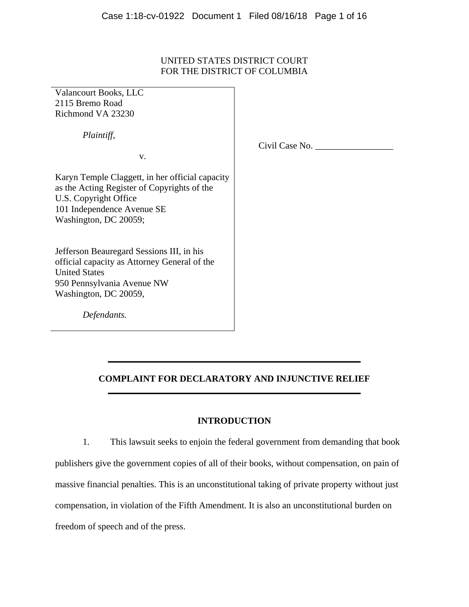# UNITED STATES DISTRICT COURT FOR THE DISTRICT OF COLUMBIA

Valancourt Books, LLC 2115 Bremo Road Richmond VA 23230

 *Plaintiff,* 

v.

Civil Case No. \_\_\_\_\_\_\_\_\_\_\_\_\_\_\_\_\_

Karyn Temple Claggett, in her official capacity as the Acting Register of Copyrights of the U.S. Copyright Office 101 Independence Avenue SE Washington, DC 20059;

Jefferson Beauregard Sessions III, in his official capacity as Attorney General of the United States 950 Pennsylvania Avenue NW Washington, DC 20059,

 *Defendants.* 

# **COMPLAINT FOR DECLARATORY AND INJUNCTIVE RELIEF \_\_\_\_\_\_\_\_\_\_\_\_\_\_\_\_\_\_\_\_\_\_\_\_\_\_\_\_\_\_\_\_\_\_\_\_\_\_\_\_\_\_\_\_\_\_\_\_\_\_\_\_\_\_\_**

**\_\_\_\_\_\_\_\_\_\_\_\_\_\_\_\_\_\_\_\_\_\_\_\_\_\_\_\_\_\_\_\_\_\_\_\_\_\_\_\_\_\_\_\_\_\_\_\_\_\_\_\_\_\_\_** 

# **INTRODUCTION**

1. This lawsuit seeks to enjoin the federal government from demanding that book publishers give the government copies of all of their books, without compensation, on pain of massive financial penalties. This is an unconstitutional taking of private property without just compensation, in violation of the Fifth Amendment. It is also an unconstitutional burden on freedom of speech and of the press.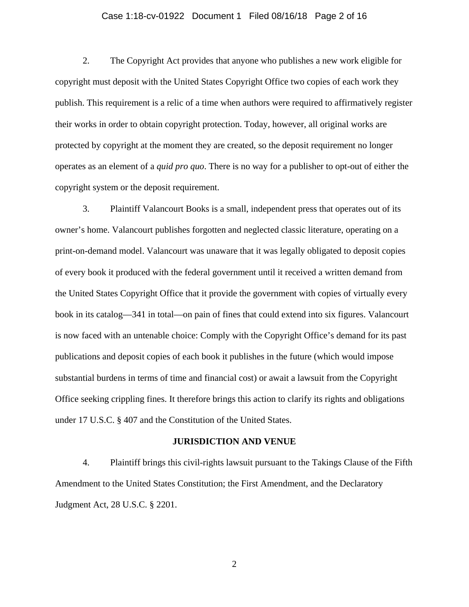### Case 1:18-cv-01922 Document 1 Filed 08/16/18 Page 2 of 16

2. The Copyright Act provides that anyone who publishes a new work eligible for copyright must deposit with the United States Copyright Office two copies of each work they publish. This requirement is a relic of a time when authors were required to affirmatively register their works in order to obtain copyright protection. Today, however, all original works are protected by copyright at the moment they are created, so the deposit requirement no longer operates as an element of a *quid pro quo*. There is no way for a publisher to opt-out of either the copyright system or the deposit requirement.

3. Plaintiff Valancourt Books is a small, independent press that operates out of its owner's home. Valancourt publishes forgotten and neglected classic literature, operating on a print-on-demand model. Valancourt was unaware that it was legally obligated to deposit copies of every book it produced with the federal government until it received a written demand from the United States Copyright Office that it provide the government with copies of virtually every book in its catalog—341 in total—on pain of fines that could extend into six figures. Valancourt is now faced with an untenable choice: Comply with the Copyright Office's demand for its past publications and deposit copies of each book it publishes in the future (which would impose substantial burdens in terms of time and financial cost) or await a lawsuit from the Copyright Office seeking crippling fines. It therefore brings this action to clarify its rights and obligations under 17 U.S.C. § 407 and the Constitution of the United States.

#### **JURISDICTION AND VENUE**

4. Plaintiff brings this civil-rights lawsuit pursuant to the Takings Clause of the Fifth Amendment to the United States Constitution; the First Amendment, and the Declaratory Judgment Act, 28 U.S.C. § 2201.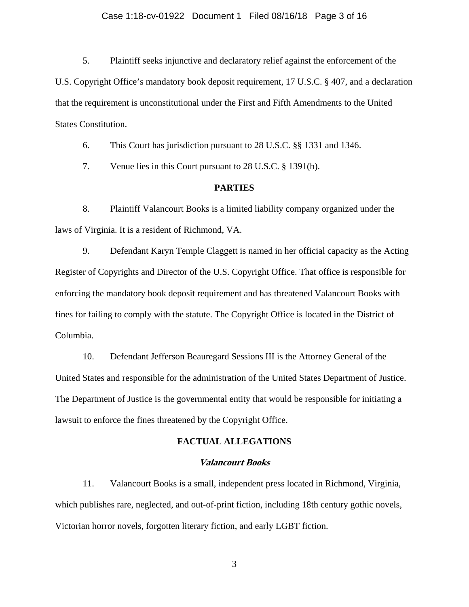### Case 1:18-cv-01922 Document 1 Filed 08/16/18 Page 3 of 16

5. Plaintiff seeks injunctive and declaratory relief against the enforcement of the U.S. Copyright Office's mandatory book deposit requirement, 17 U.S.C. § 407, and a declaration that the requirement is unconstitutional under the First and Fifth Amendments to the United States Constitution.

6. This Court has jurisdiction pursuant to 28 U.S.C. §§ 1331 and 1346.

7. Venue lies in this Court pursuant to 28 U.S.C. § 1391(b).

### **PARTIES**

8. Plaintiff Valancourt Books is a limited liability company organized under the laws of Virginia. It is a resident of Richmond, VA.

9. Defendant Karyn Temple Claggett is named in her official capacity as the Acting Register of Copyrights and Director of the U.S. Copyright Office. That office is responsible for enforcing the mandatory book deposit requirement and has threatened Valancourt Books with fines for failing to comply with the statute. The Copyright Office is located in the District of Columbia.

10. Defendant Jefferson Beauregard Sessions III is the Attorney General of the United States and responsible for the administration of the United States Department of Justice. The Department of Justice is the governmental entity that would be responsible for initiating a lawsuit to enforce the fines threatened by the Copyright Office.

#### **FACTUAL ALLEGATIONS**

#### **Valancourt Books**

11. Valancourt Books is a small, independent press located in Richmond, Virginia, which publishes rare, neglected, and out-of-print fiction, including 18th century gothic novels, Victorian horror novels, forgotten literary fiction, and early LGBT fiction.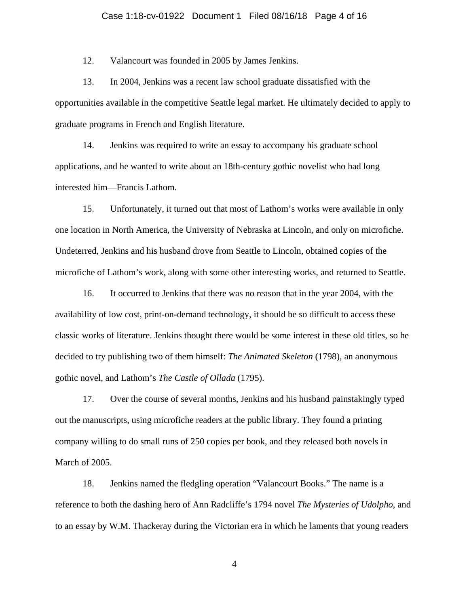### Case 1:18-cv-01922 Document 1 Filed 08/16/18 Page 4 of 16

12. Valancourt was founded in 2005 by James Jenkins.

13. In 2004, Jenkins was a recent law school graduate dissatisfied with the opportunities available in the competitive Seattle legal market. He ultimately decided to apply to graduate programs in French and English literature.

14. Jenkins was required to write an essay to accompany his graduate school applications, and he wanted to write about an 18th-century gothic novelist who had long interested him—Francis Lathom.

15. Unfortunately, it turned out that most of Lathom's works were available in only one location in North America, the University of Nebraska at Lincoln, and only on microfiche. Undeterred, Jenkins and his husband drove from Seattle to Lincoln, obtained copies of the microfiche of Lathom's work, along with some other interesting works, and returned to Seattle.

16. It occurred to Jenkins that there was no reason that in the year 2004, with the availability of low cost, print-on-demand technology, it should be so difficult to access these classic works of literature. Jenkins thought there would be some interest in these old titles, so he decided to try publishing two of them himself: *The Animated Skeleton* (1798), an anonymous gothic novel, and Lathom's *The Castle of Ollada* (1795).

17. Over the course of several months, Jenkins and his husband painstakingly typed out the manuscripts, using microfiche readers at the public library. They found a printing company willing to do small runs of 250 copies per book, and they released both novels in March of 2005.

18. Jenkins named the fledgling operation "Valancourt Books." The name is a reference to both the dashing hero of Ann Radcliffe's 1794 novel *The Mysteries of Udolpho*, and to an essay by W.M. Thackeray during the Victorian era in which he laments that young readers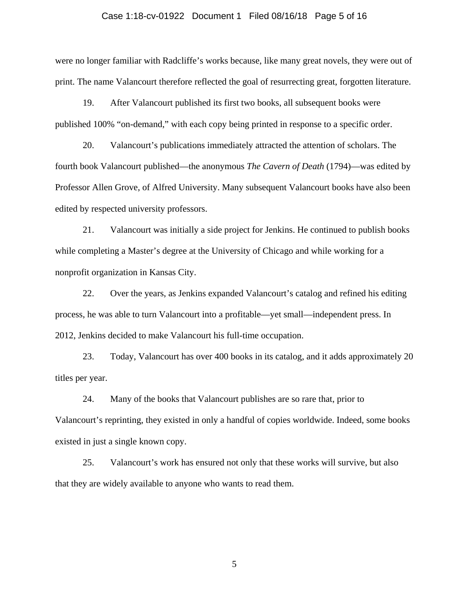### Case 1:18-cv-01922 Document 1 Filed 08/16/18 Page 5 of 16

were no longer familiar with Radcliffe's works because, like many great novels, they were out of print. The name Valancourt therefore reflected the goal of resurrecting great, forgotten literature.

19. After Valancourt published its first two books, all subsequent books were published 100% "on-demand," with each copy being printed in response to a specific order.

20. Valancourt's publications immediately attracted the attention of scholars. The fourth book Valancourt published—the anonymous *The Cavern of Death* (1794)—was edited by Professor Allen Grove, of Alfred University. Many subsequent Valancourt books have also been edited by respected university professors.

21. Valancourt was initially a side project for Jenkins. He continued to publish books while completing a Master's degree at the University of Chicago and while working for a nonprofit organization in Kansas City.

22. Over the years, as Jenkins expanded Valancourt's catalog and refined his editing process, he was able to turn Valancourt into a profitable—yet small—independent press. In 2012, Jenkins decided to make Valancourt his full-time occupation.

23. Today, Valancourt has over 400 books in its catalog, and it adds approximately 20 titles per year.

24. Many of the books that Valancourt publishes are so rare that, prior to Valancourt's reprinting, they existed in only a handful of copies worldwide. Indeed, some books existed in just a single known copy.

25. Valancourt's work has ensured not only that these works will survive, but also that they are widely available to anyone who wants to read them.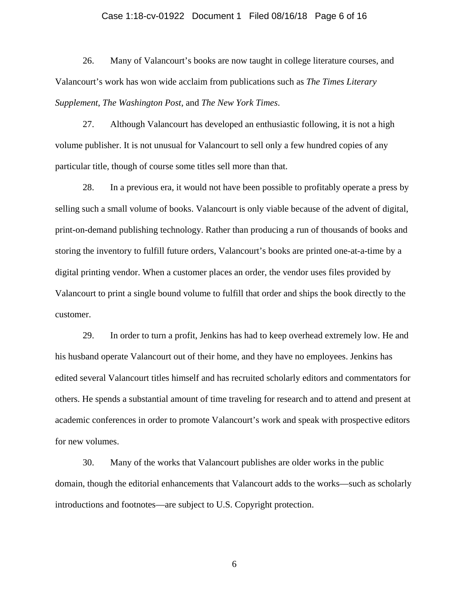### Case 1:18-cv-01922 Document 1 Filed 08/16/18 Page 6 of 16

26. Many of Valancourt's books are now taught in college literature courses, and Valancourt's work has won wide acclaim from publications such as *The Times Literary Supplement*, *The Washington Post*, and *The New York Times*.

27. Although Valancourt has developed an enthusiastic following, it is not a high volume publisher. It is not unusual for Valancourt to sell only a few hundred copies of any particular title, though of course some titles sell more than that.

28. In a previous era, it would not have been possible to profitably operate a press by selling such a small volume of books. Valancourt is only viable because of the advent of digital, print-on-demand publishing technology. Rather than producing a run of thousands of books and storing the inventory to fulfill future orders, Valancourt's books are printed one-at-a-time by a digital printing vendor. When a customer places an order, the vendor uses files provided by Valancourt to print a single bound volume to fulfill that order and ships the book directly to the customer.

29. In order to turn a profit, Jenkins has had to keep overhead extremely low. He and his husband operate Valancourt out of their home, and they have no employees. Jenkins has edited several Valancourt titles himself and has recruited scholarly editors and commentators for others. He spends a substantial amount of time traveling for research and to attend and present at academic conferences in order to promote Valancourt's work and speak with prospective editors for new volumes.

30. Many of the works that Valancourt publishes are older works in the public domain, though the editorial enhancements that Valancourt adds to the works—such as scholarly introductions and footnotes—are subject to U.S. Copyright protection.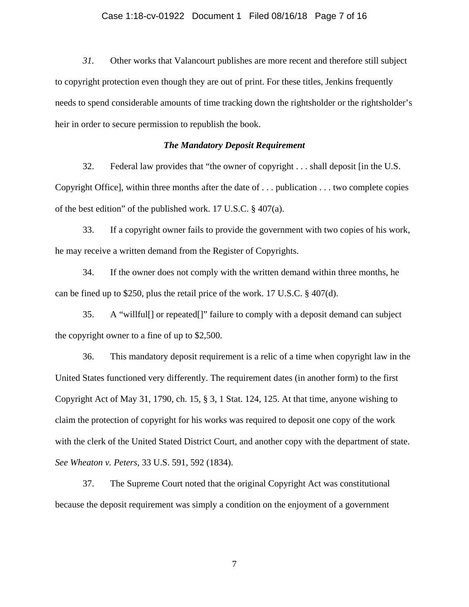### Case 1:18-cv-01922 Document 1 Filed 08/16/18 Page 7 of 16

*31.* Other works that Valancourt publishes are more recent and therefore still subject to copyright protection even though they are out of print. For these titles, Jenkins frequently needs to spend considerable amounts of time tracking down the rightsholder or the rightsholder's heir in order to secure permission to republish the book.

## *The Mandatory Deposit Requirement*

32. Federal law provides that "the owner of copyright . . . shall deposit [in the U.S. Copyright Office], within three months after the date of . . . publication . . . two complete copies of the best edition" of the published work. 17 U.S.C. § 407(a).

33. If a copyright owner fails to provide the government with two copies of his work, he may receive a written demand from the Register of Copyrights.

34. If the owner does not comply with the written demand within three months, he can be fined up to \$250, plus the retail price of the work. 17 U.S.C. § 407(d).

35. A "willful[] or repeated[]" failure to comply with a deposit demand can subject the copyright owner to a fine of up to \$2,500.

36. This mandatory deposit requirement is a relic of a time when copyright law in the United States functioned very differently. The requirement dates (in another form) to the first Copyright Act of May 31, 1790, ch. 15, § 3, 1 Stat. 124, 125. At that time, anyone wishing to claim the protection of copyright for his works was required to deposit one copy of the work with the clerk of the United Stated District Court, and another copy with the department of state. *See Wheaton v. Peters*, 33 U.S. 591, 592 (1834).

37. The Supreme Court noted that the original Copyright Act was constitutional because the deposit requirement was simply a condition on the enjoyment of a government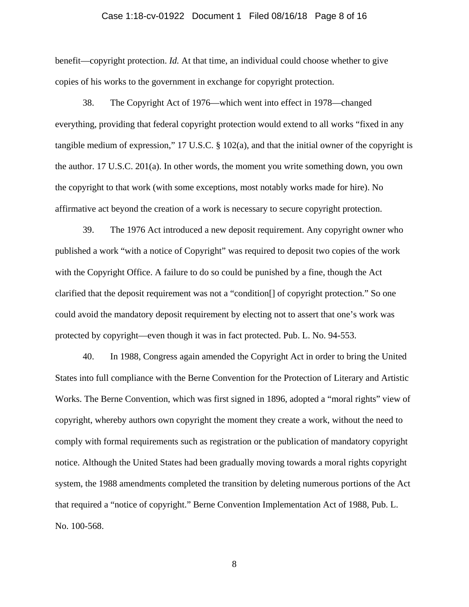### Case 1:18-cv-01922 Document 1 Filed 08/16/18 Page 8 of 16

benefit—copyright protection. *Id.* At that time, an individual could choose whether to give copies of his works to the government in exchange for copyright protection.

38. The Copyright Act of 1976—which went into effect in 1978—changed everything, providing that federal copyright protection would extend to all works "fixed in any tangible medium of expression," 17 U.S.C. § 102(a), and that the initial owner of the copyright is the author. 17 U.S.C. 201(a). In other words, the moment you write something down, you own the copyright to that work (with some exceptions, most notably works made for hire). No affirmative act beyond the creation of a work is necessary to secure copyright protection.

39. The 1976 Act introduced a new deposit requirement. Any copyright owner who published a work "with a notice of Copyright" was required to deposit two copies of the work with the Copyright Office. A failure to do so could be punished by a fine, though the Act clarified that the deposit requirement was not a "condition[] of copyright protection." So one could avoid the mandatory deposit requirement by electing not to assert that one's work was protected by copyright—even though it was in fact protected. Pub. L. No. 94-553.

40. In 1988, Congress again amended the Copyright Act in order to bring the United States into full compliance with the Berne Convention for the Protection of Literary and Artistic Works. The Berne Convention, which was first signed in 1896, adopted a "moral rights" view of copyright, whereby authors own copyright the moment they create a work, without the need to comply with formal requirements such as registration or the publication of mandatory copyright notice. Although the United States had been gradually moving towards a moral rights copyright system, the 1988 amendments completed the transition by deleting numerous portions of the Act that required a "notice of copyright." Berne Convention Implementation Act of 1988, Pub. L. No. 100-568.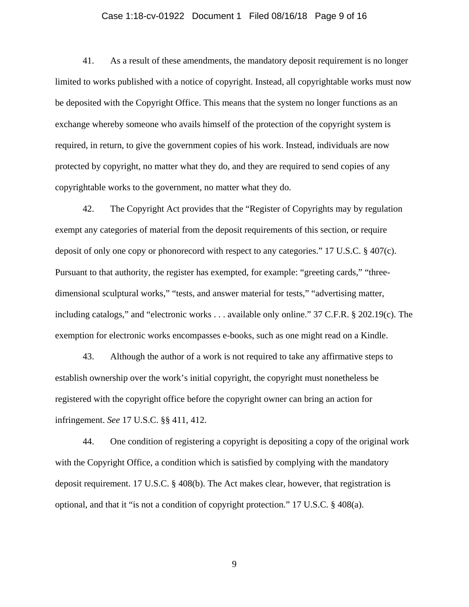### Case 1:18-cv-01922 Document 1 Filed 08/16/18 Page 9 of 16

41. As a result of these amendments, the mandatory deposit requirement is no longer limited to works published with a notice of copyright. Instead, all copyrightable works must now be deposited with the Copyright Office. This means that the system no longer functions as an exchange whereby someone who avails himself of the protection of the copyright system is required, in return, to give the government copies of his work. Instead, individuals are now protected by copyright, no matter what they do, and they are required to send copies of any copyrightable works to the government, no matter what they do.

42. The Copyright Act provides that the "Register of Copyrights may by regulation exempt any categories of material from the deposit requirements of this section, or require deposit of only one copy or phonorecord with respect to any categories." 17 U.S.C. § 407(c). Pursuant to that authority, the register has exempted, for example: "greeting cards," "threedimensional sculptural works," "tests, and answer material for tests," "advertising matter, including catalogs," and "electronic works . . . available only online." 37 C.F.R. § 202.19(c). The exemption for electronic works encompasses e-books, such as one might read on a Kindle.

43. Although the author of a work is not required to take any affirmative steps to establish ownership over the work's initial copyright, the copyright must nonetheless be registered with the copyright office before the copyright owner can bring an action for infringement. *See* 17 U.S.C. §§ 411, 412.

44. One condition of registering a copyright is depositing a copy of the original work with the Copyright Office, a condition which is satisfied by complying with the mandatory deposit requirement. 17 U.S.C. § 408(b). The Act makes clear, however, that registration is optional, and that it "is not a condition of copyright protection." 17 U.S.C. § 408(a).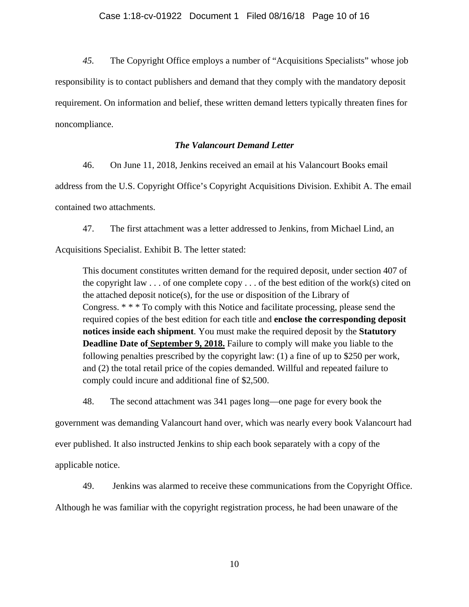*45.* The Copyright Office employs a number of "Acquisitions Specialists" whose job responsibility is to contact publishers and demand that they comply with the mandatory deposit requirement. On information and belief, these written demand letters typically threaten fines for noncompliance.

# *The Valancourt Demand Letter*

46. On June 11, 2018, Jenkins received an email at his Valancourt Books email

address from the U.S. Copyright Office's Copyright Acquisitions Division. Exhibit A. The email contained two attachments.

47. The first attachment was a letter addressed to Jenkins, from Michael Lind, an

Acquisitions Specialist. Exhibit B. The letter stated:

This document constitutes written demand for the required deposit, under section 407 of the copyright law  $\ldots$  of one complete copy  $\ldots$  of the best edition of the work(s) cited on the attached deposit notice(s), for the use or disposition of the Library of Congress. \* \* \* To comply with this Notice and facilitate processing, please send the required copies of the best edition for each title and **enclose the corresponding deposit notices inside each shipment**. You must make the required deposit by the **Statutory Deadline Date of September 9, 2018.** Failure to comply will make you liable to the following penalties prescribed by the copyright law: (1) a fine of up to \$250 per work, and (2) the total retail price of the copies demanded. Willful and repeated failure to comply could incure and additional fine of \$2,500.

48. The second attachment was 341 pages long—one page for every book the

government was demanding Valancourt hand over, which was nearly every book Valancourt had ever published. It also instructed Jenkins to ship each book separately with a copy of the applicable notice.

49. Jenkins was alarmed to receive these communications from the Copyright Office.

Although he was familiar with the copyright registration process, he had been unaware of the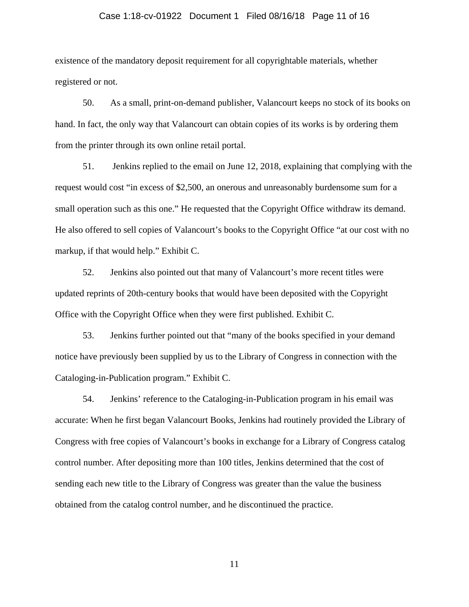### Case 1:18-cv-01922 Document 1 Filed 08/16/18 Page 11 of 16

existence of the mandatory deposit requirement for all copyrightable materials, whether registered or not.

50. As a small, print-on-demand publisher, Valancourt keeps no stock of its books on hand. In fact, the only way that Valancourt can obtain copies of its works is by ordering them from the printer through its own online retail portal.

51. Jenkins replied to the email on June 12, 2018, explaining that complying with the request would cost "in excess of \$2,500, an onerous and unreasonably burdensome sum for a small operation such as this one." He requested that the Copyright Office withdraw its demand. He also offered to sell copies of Valancourt's books to the Copyright Office "at our cost with no markup, if that would help." Exhibit C.

52. Jenkins also pointed out that many of Valancourt's more recent titles were updated reprints of 20th-century books that would have been deposited with the Copyright Office with the Copyright Office when they were first published. Exhibit C.

53. Jenkins further pointed out that "many of the books specified in your demand notice have previously been supplied by us to the Library of Congress in connection with the Cataloging-in-Publication program." Exhibit C.

54. Jenkins' reference to the Cataloging-in-Publication program in his email was accurate: When he first began Valancourt Books, Jenkins had routinely provided the Library of Congress with free copies of Valancourt's books in exchange for a Library of Congress catalog control number. After depositing more than 100 titles, Jenkins determined that the cost of sending each new title to the Library of Congress was greater than the value the business obtained from the catalog control number, and he discontinued the practice.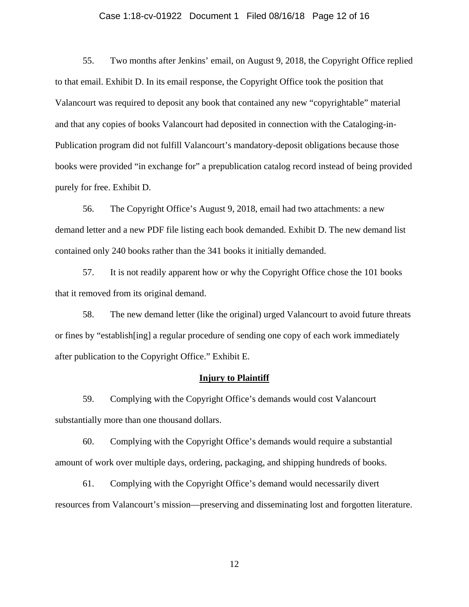### Case 1:18-cv-01922 Document 1 Filed 08/16/18 Page 12 of 16

55. Two months after Jenkins' email, on August 9, 2018, the Copyright Office replied to that email. Exhibit D. In its email response, the Copyright Office took the position that Valancourt was required to deposit any book that contained any new "copyrightable" material and that any copies of books Valancourt had deposited in connection with the Cataloging-in-Publication program did not fulfill Valancourt's mandatory-deposit obligations because those books were provided "in exchange for" a prepublication catalog record instead of being provided purely for free. Exhibit D.

56. The Copyright Office's August 9, 2018, email had two attachments: a new demand letter and a new PDF file listing each book demanded. Exhibit D. The new demand list contained only 240 books rather than the 341 books it initially demanded.

57. It is not readily apparent how or why the Copyright Office chose the 101 books that it removed from its original demand.

58. The new demand letter (like the original) urged Valancourt to avoid future threats or fines by "establish[ing] a regular procedure of sending one copy of each work immediately after publication to the Copyright Office." Exhibit E.

## **Injury to Plaintiff**

59. Complying with the Copyright Office's demands would cost Valancourt substantially more than one thousand dollars.

60. Complying with the Copyright Office's demands would require a substantial amount of work over multiple days, ordering, packaging, and shipping hundreds of books.

61. Complying with the Copyright Office's demand would necessarily divert resources from Valancourt's mission—preserving and disseminating lost and forgotten literature.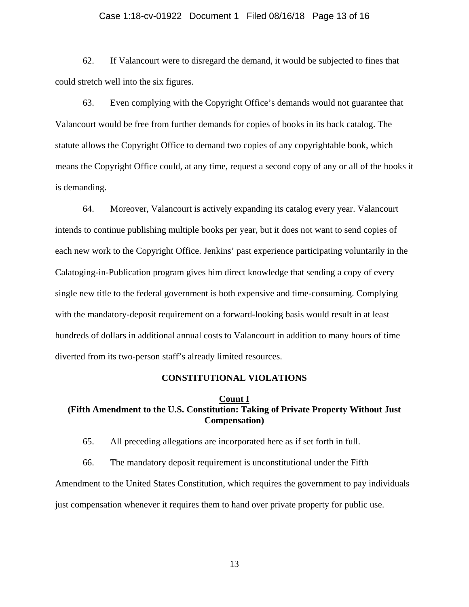#### Case 1:18-cv-01922 Document 1 Filed 08/16/18 Page 13 of 16

62. If Valancourt were to disregard the demand, it would be subjected to fines that could stretch well into the six figures.

63. Even complying with the Copyright Office's demands would not guarantee that Valancourt would be free from further demands for copies of books in its back catalog. The statute allows the Copyright Office to demand two copies of any copyrightable book, which means the Copyright Office could, at any time, request a second copy of any or all of the books it is demanding.

64. Moreover, Valancourt is actively expanding its catalog every year. Valancourt intends to continue publishing multiple books per year, but it does not want to send copies of each new work to the Copyright Office. Jenkins' past experience participating voluntarily in the Calatoging-in-Publication program gives him direct knowledge that sending a copy of every single new title to the federal government is both expensive and time-consuming. Complying with the mandatory-deposit requirement on a forward-looking basis would result in at least hundreds of dollars in additional annual costs to Valancourt in addition to many hours of time diverted from its two-person staff's already limited resources.

#### **CONSTITUTIONAL VIOLATIONS**

#### **Count I**

# **(Fifth Amendment to the U.S. Constitution: Taking of Private Property Without Just Compensation)**

65. All preceding allegations are incorporated here as if set forth in full.

66. The mandatory deposit requirement is unconstitutional under the Fifth Amendment to the United States Constitution, which requires the government to pay individuals just compensation whenever it requires them to hand over private property for public use.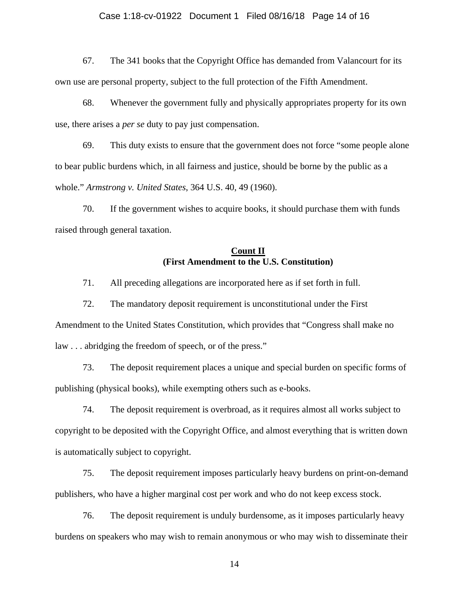### Case 1:18-cv-01922 Document 1 Filed 08/16/18 Page 14 of 16

67. The 341 books that the Copyright Office has demanded from Valancourt for its own use are personal property, subject to the full protection of the Fifth Amendment.

68. Whenever the government fully and physically appropriates property for its own use, there arises a *per se* duty to pay just compensation.

69. This duty exists to ensure that the government does not force "some people alone to bear public burdens which, in all fairness and justice, should be borne by the public as a whole." *Armstrong v. United States*, 364 U.S. 40, 49 (1960).

70. If the government wishes to acquire books, it should purchase them with funds raised through general taxation.

## **Count II (First Amendment to the U.S. Constitution)**

71. All preceding allegations are incorporated here as if set forth in full.

72. The mandatory deposit requirement is unconstitutional under the First Amendment to the United States Constitution, which provides that "Congress shall make no law . . . abridging the freedom of speech, or of the press."

73. The deposit requirement places a unique and special burden on specific forms of publishing (physical books), while exempting others such as e-books.

74. The deposit requirement is overbroad, as it requires almost all works subject to copyright to be deposited with the Copyright Office, and almost everything that is written down is automatically subject to copyright.

75. The deposit requirement imposes particularly heavy burdens on print-on-demand publishers, who have a higher marginal cost per work and who do not keep excess stock.

76. The deposit requirement is unduly burdensome, as it imposes particularly heavy burdens on speakers who may wish to remain anonymous or who may wish to disseminate their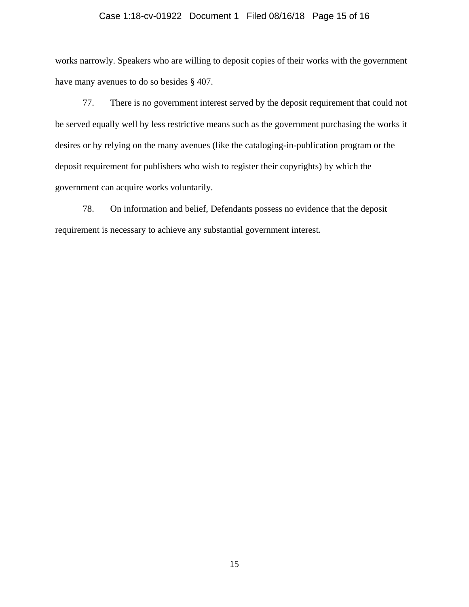### Case 1:18-cv-01922 Document 1 Filed 08/16/18 Page 15 of 16

works narrowly. Speakers who are willing to deposit copies of their works with the government have many avenues to do so besides § 407.

77. There is no government interest served by the deposit requirement that could not be served equally well by less restrictive means such as the government purchasing the works it desires or by relying on the many avenues (like the cataloging-in-publication program or the deposit requirement for publishers who wish to register their copyrights) by which the government can acquire works voluntarily.

78. On information and belief, Defendants possess no evidence that the deposit requirement is necessary to achieve any substantial government interest.